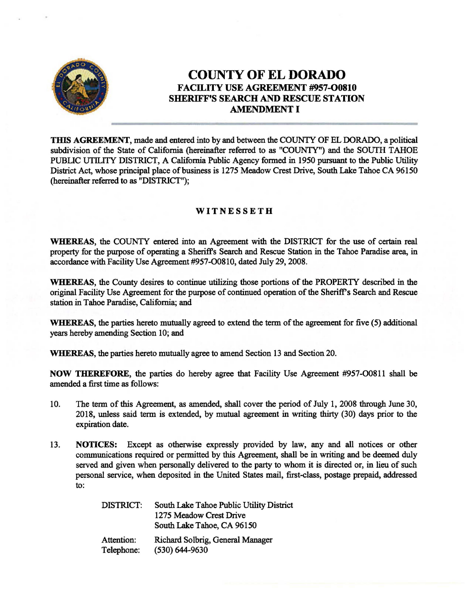

# COUNTY OF EL DORADO FACILITY USE AGREEMENT #957-00810 SHERIFF'S SEARCH AND RESCUE STATION AMENDMENT I

THIS AGREEMENT, made and entered into by and between the COUNTY OF ELDORADO, a political subdivision of the State of California (hereinafter referred to as "COUNTY") and the SOUTH TAHOE PUBLIC UTILITY DISTRICT, A California Public Agency formed in 1950 pursuant to the Public Utility District Act, whose principal place of business is 1275 Meadow Crest Drive, South Lake Tahoe CA 96150 (hereinafter referred to as "DISTRICT");

# **WITNESSETH**

WHEREAS, the COUNTY entered into an Agreement with the DISTRICT for the use of certain real property for the purpose of operating a Sheriff's Search and Rescue Station in the Tahoe Paradise area, in accordance with Facility Use Agreement #957-00810, dated July 29, 2008.

WHEREAS, the County desires to continue utilizing those portions of the PROPERTY described in the original Facility Use Agreement for the purpose of continued operation of the Sheriff's Search and Rescue station in Tahoe Paradise, California; and

WHEREAS, the parties hereto mutually agreed to extend the term of the agreement for five (5) additional years hereby amending Section 10; and

WHEREAS, the parties hereto mutually agree to amend Section 13 and Section 20.

NOW THEREFORE, the parties do hereby agree that Facility Use Agreement #957-00811 shall be amended a first time as follows:

- 10. The term of this Agreement, as amended, shall cover the period of July 1, 2008 through June 30, 2018, unless said term is extended, by mutual agreement in writing thirty (30) days prior to the expiration date.
- 13. NOTICES: Except as otherwise expressly provided by law, any and all notices or other communications required or permitted by this Agreement, shall be in writing and be deemed duly served and given when personally delivered to the party to whom it is directed or, in lieu of such personal service, when deposited in the United States mail, first-class, postage prepaid, addressed to:

| DISTRICT:  | South Lake Tahoe Public Utility District |
|------------|------------------------------------------|
|            | 1275 Meadow Crest Drive                  |
|            | South Lake Tahoe, CA 96150               |
| Attention: | Richard Solbrig, General Manager         |
| Telephone: | $(530) 644 - 9630$                       |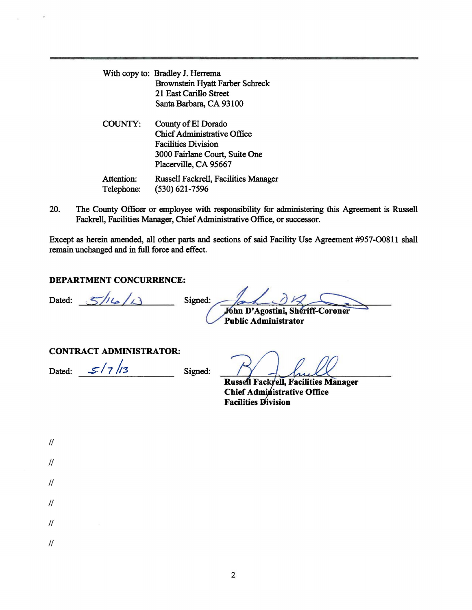|                          | With copy to: Bradley J. Herrema                                                                                                                   |
|--------------------------|----------------------------------------------------------------------------------------------------------------------------------------------------|
|                          | Brownstein Hyatt Farber Schreck                                                                                                                    |
|                          | 21 East Carillo Street                                                                                                                             |
|                          | Santa Barbara, CA 93100                                                                                                                            |
| COUNTY:                  | County of El Dorado<br><b>Chief Administrative Office</b><br><b>Facilities Division</b><br>3000 Fairlane Court, Suite One<br>Placerville, CA 95667 |
| Attention:<br>Telephone: | Russell Fackrell, Facilities Manager<br>$(530) 621 - 7596$                                                                                         |

20. The County Officer or employee with responsibility for administering this Agreement is Russell Fackrell, Facilities Manager, Chief Administrative Office, or successor.

Except as herein amended, all other parts and sections of said Facility Use Agreement #957-00811 shall remain unchanged and in full force and effect.

## DEPARTMENT CONCURRENCE:

Dated:  $\frac{2}{\sqrt{2}}$ //6/1<sup>3</sup>

Signed: John D'Agostini, Sheriff-Coroner Public Administrator

#### CONTRACT ADMINISTRATOR:

Dated:  $\frac{\mathcal{S}}{7h}$ //3 Signed:

Russell Fackrell, Facilities Manager Chief Administrative Office Facilities Division

| 7<br>ĩ<br>٦ |  |
|-------------|--|
| I i<br>į    |  |

 $\ensuremath{\mathnormal{II}}$ 

 $\ensuremath{\mathnormal{II}}$ 

 $\mathcal{U}$ 

 $\prime\prime$